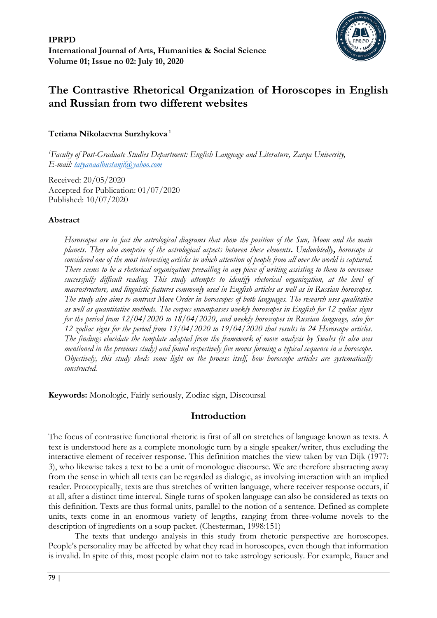

# **The Contrastive Rhetorical Organization of Horoscopes in English and Russian from two different websites**

## **Tetiana Nikolaevna Surzhykova <sup>1</sup>**

*<sup>1</sup>Faculty of Post-Graduate Studies Department: English Language and Literature, Zarqa University, E-mail: [tatyanaalbustanji@yahoo.com](mailto:tatyanaalbustanji@yahoo.com)*

Received: 20/05/2020 Accepted for Publication: 01/07/2020 Published: 10/07/2020

## **Abstract**

*Horoscopes are in fact the astrological diagrams that show the position of the Sun, Moon and the main planets. They also comprise of the astrological aspects between these elements***.** *Undoubtedly***,** *horoscope is considered one of the most interesting articles in which attention of people from all over the world is captured. There seems to be a rhetorical organization prevailing in any piece of writing assisting to them to overcome successfully difficult reading. This study attempts to identify rhetorical organization, at the level of macrostructure, and linguistic features commonly used in English articles as well as in Russian horoscopes. The study also aims to contrast Move Order in horoscopes of both languages. The research uses qualitative as well as quantitative methods. The corpus encompasses weekly horoscopes in English for 12 zodiac signs for the period from 12/04/2020 to 18/04/2020, and weekly horoscopes in Russian language, also for 12 zodiac signs for the period from 13/04/2020 to 19/04/2020 that results in 24 Horoscope articles. The findings elucidate the template adapted from the framework of move analysis by Swales (it also was mentioned in the previous study) and found respectively five moves forming a typical sequence in a horoscope. Objectively, this study sheds some light on the process itself, how horoscope articles are systematically constructed.*

**Keywords:** Monologic, Fairly seriously, Zodiac sign, Discoursal

## **Introduction**

The focus of contrastive functional rhetoric is first of all on stretches of language known as texts. A text is understood here as a complete monologic turn by a single speaker/writer, thus excluding the interactive element of receiver response. This definition matches the view taken by van Dijk (1977: 3), who likewise takes a text to be a unit of monologue discourse. We are therefore abstracting away from the sense in which all texts can be regarded as dialogic, as involving interaction with an implied reader. Prototypically, texts are thus stretches of written language, where receiver response occurs, if at all, after a distinct time interval. Single turns of spoken language can also be considered as texts on this definition. Texts are thus formal units, parallel to the notion of a sentence. Defined as complete units, texts come in an enormous variety of lengths, ranging from three-volume novels to the description of ingredients on a soup packet. (Chesterman, 1998:151)

The texts that undergo analysis in this study from rhetoric perspective are horoscopes. People's personality may be affected by what they read in horoscopes, even though that information is invalid. In spite of this, most people claim not to take astrology seriously. For example, Bauer and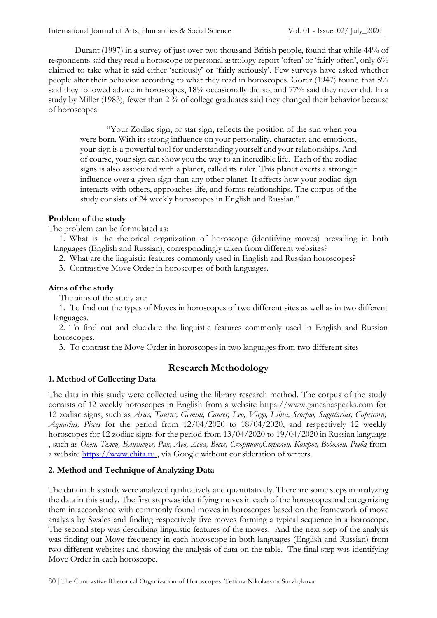Durant (1997) in a survey of just over two thousand British people, found that while 44% of respondents said they read a horoscope or personal astrology report 'often' or 'fairly often', only 6% claimed to take what it said either 'seriously' or 'fairly seriously'. Few surveys have asked whether people alter their behavior according to what they read in horoscopes. Gorer (1947) found that 5% said they followed advice in horoscopes, 18% occasionally did so, and 77% said they never did. In a study by Miller (1983), fewer than 2 % of college graduates said they changed their behavior because of horoscopes

"Your Zodiac sign, or star sign, reflects the position of the sun when you were born. With its strong influence on your personality, character, and emotions, your sign is a powerful tool for understanding yourself and your relationships. And of course, your sign can show you the way to an incredible life. Each of the zodiac signs is also associated with a planet, called its ruler. This planet exerts a stronger influence over a given sign than any other planet. It affects how your zodiac sign interacts with others, approaches life, and forms relationships. The corpus of the study consists of 24 weekly horoscopes in English and Russian."

## **Problem of the study**

The problem can be formulated as:

1. What is the rhetorical organization of horoscope (identifying moves) prevailing in both languages (English and Russian), correspondingly taken from different websites?

- 2. What are the linguistic features commonly used in English and Russian horoscopes?
- 3. Contrastive Move Order in horoscopes of both languages.

#### **Aims of the study**

The aims of the study are:

1. To find out the types of Moves in horoscopes of two different sites as well as in two different languages.

2. To find out and elucidate the linguistic features commonly used in English and Russian horoscopes.

3. To contrast the Move Order in horoscopes in two languages from two different sites

## **1. Method of Collecting Data**

## **Research Methodology**

The data in this study were collected using the library research method. The corpus of the study consists of 12 weekly horoscopes in English from a website https://www.ganeshaspeaks.com for 12 zodiac signs, such as *Aries, Taurus, Gemini, Cancer, Leo, Virgo, Libra, Scorpio, Sagittarius, Capricorn, Aquarius, Pisces* for the period from 12/04/2020 to 18/04/2020, and respectively 12 weekly horoscopes for 12 zodiac signs for the period from 13/04/2020 to 19/04/2020 in Russian language , such as *Овен, Телец, Близнецы, Рак, Лев, Дева, Весы, Скорпион,Стрелец, Козерог, Водолей, Рыба* from a website [https://www.chita.ru](https://www.chita.ru/) , via Google without consideration of writers.

## **2. Method and Technique of Analyzing Data**

The data in this study were analyzed qualitatively and quantitatively. There are some steps in analyzing the data in this study. The first step was identifying moves in each of the horoscopes and categorizing them in accordance with commonly found moves in horoscopes based on the framework of move analysis by Swales and finding respectively five moves forming a typical sequence in a horoscope. The second step was describing linguistic features of the moves. And the next step of the analysis was finding out Move frequency in each horoscope in both languages (English and Russian) from two different websites and showing the analysis of data on the table. The final step was identifying Move Order in each horoscope.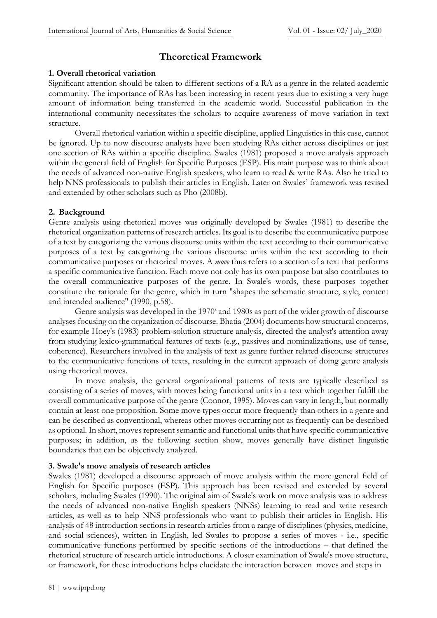## **Theoretical Framework**

### **1. Overall rhetorical variation**

Significant attention should be taken to different sections of a RA as a genre in the related academic community. The importance of RAs has been increasing in recent years due to existing a very huge amount of information being transferred in the academic world. Successful publication in the international community necessitates the scholars to acquire awareness of move variation in text structure.

Overall rhetorical variation within a specific discipline, applied Linguistics in this case, cannot be ignored. Up to now discourse analysts have been studying RAs either across disciplines or just one section of RAs within a specific discipline. Swales (1981) proposed a move analysis approach within the general field of English for Specific Purposes (ESP). His main purpose was to think about the needs of advanced non-native English speakers, who learn to read & write RAs. Also he tried to help NNS professionals to publish their articles in English. Later on Swales' framework was revised and extended by other scholars such as Pho (2008b).

## **2. Background**

Genre analysis using rhetorical moves was originally developed by Swales (1981) to describe the rhetorical organization patterns of research articles. Its goal is to describe the communicative purpose of a text by categorizing the various discourse units within the text according to their communicative purposes of a text by categorizing the various discourse units within the text according to their communicative purposes or rhetorical moves. A *move* thus refers to a section of a text that performs a specific communicative function. Each move not only has its own purpose but also contributes to the overall communicative purposes of the genre. In Swale's words, these purposes together constitute the rationale for the genre, which in turn "shapes the schematic structure, style, content and intended audience" (1990, p.58).

Genre analysis was developed in the 1970<sup>s</sup> and 1980s as part of the wider growth of discourse analyses focusing on the organization of discourse. Bhatia (2004) documents how structural concerns, for example Hoey's (1983) problem-solution structure analysis, directed the analyst's attention away from studying lexico-grammatical features of texts (e.g., passives and nominalizations, use of tense, coherence). Researchers involved in the analysis of text as genre further related discourse structures to the communicative functions of texts, resulting in the current approach of doing genre analysis using rhetorical moves.

In move analysis, the general organizational patterns of texts are typically described as consisting of a series of moves, with moves being functional units in a text which together fulfill the overall communicative purpose of the genre (Connor, 1995). Moves can vary in length, but normally contain at least one proposition. Some move types occur more frequently than others in a genre and can be described as conventional, whereas other moves occurring not as frequently can be described as optional. In short, moves represent semantic and functional units that have specific communicative purposes; in addition, as the following section show, moves generally have distinct linguistic boundaries that can be objectively analyzed.

## **3. Swale's move analysis of research articles**

Swales (1981) developed a discourse approach of move analysis within the more general field of English for Specific purposes (ESP). This approach has been revised and extended by several scholars, including Swales (1990). The original aim of Swale's work on move analysis was to address the needs of advanced non-native English speakers (NNSs) learning to read and write research articles, as well as to help NNS professionals who want to publish their articles in English. His analysis of 48 introduction sections in research articles from a range of disciplines (physics, medicine, and social sciences), written in English, led Swales to propose a series of moves - i.e., specific communicative functions performed by specific sections of the introductions – that defined the rhetorical structure of research article introductions. A closer examination of Swale's move structure, or framework, for these introductions helps elucidate the interaction between moves and steps in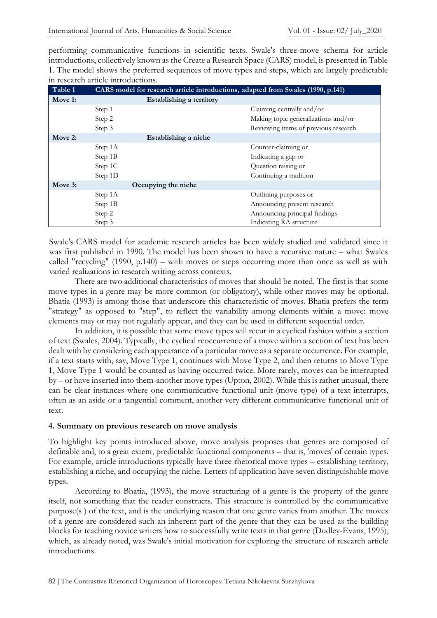performing communicative functions in scientific texts. Swale's three-move schema for article introductions, collectively known as the Create a Research Space (CARS) model, is presented in Table 1. The model shows the preferred sequences of move types and steps, which are largely predictable in research article introductions.

| Table 1 | CARS model for research article introductions, adapted from Swales (1990, p.141) |                                      |  |  |
|---------|----------------------------------------------------------------------------------|--------------------------------------|--|--|
| Move 1: | Establishing a territory                                                         |                                      |  |  |
|         | Step 1                                                                           | Claiming centrally and/or            |  |  |
|         | Step 2                                                                           | Making topic generalizations and/or  |  |  |
|         | Step 3                                                                           | Reviewing items of previous research |  |  |
| Move 2: | Establishing a niche                                                             |                                      |  |  |
|         | Step 1A                                                                          | Counter-claiming or                  |  |  |
|         | Step 1B                                                                          | Indicating a gap or                  |  |  |
|         | Step 1C                                                                          | Question raising or                  |  |  |
|         | Step 1D                                                                          | Continuing a tradition               |  |  |
| Move 3: | Occupying the niche                                                              |                                      |  |  |
|         | Step 1A                                                                          | Outlining purposes or                |  |  |
|         | Step 1B                                                                          | Announcing present research          |  |  |
|         | Step 2                                                                           | Announcing principal findings        |  |  |
|         | Step 3                                                                           | Indicating RA structure              |  |  |

Swale's CARS model for academic research articles has been widely studied and validated since it was first published in 1990. The model has been shown to have a recursive nature – what Swales called "recycling" (1990, p.140) – with moves or steps occurring more than once as well as with varied realizations in research writing across contexts.

There are two additional characteristics of moves that should be noted. The first is that some move types in a genre may be more common (or obligatory), while other moves may be optional. Bhatia (1993) is among those that underscore this characteristic of moves. Bhatia prefers the term "strategy" as opposed to "step", to reflect the variability among elements within a move: move elements may or may not regularly appear, and they can be used in different sequential order.

In addition, it is possible that some move types will recur in a cyclical fashion within a section of text (Swales, 2004). Typically, the cyclical reoccurrence of a move within a section of text has been dealt with by considering each appearance of a particular move as a separate occurrence. For example, if a text starts with, say, Move Type 1, continues with Move Type 2, and then returns to Move Type 1, Move Type 1 would be counted as having occurred twice. More rarely, moves can be interrupted by – or have inserted into them-another move types (Upton, 2002). While this is rather unusual, there can be clear instances where one communicative functional unit (move type) of a text interrupts, often as an aside or a tangential comment, another very different communicative functional unit of text.

## **4. Summary on previous research on move analysis**

To highlight key points introduced above, move analysis proposes that genres are composed of definable and, to a great extent, predictable functional components – that is, 'moves' of certain types. For example, article introductions typically have three rhetorical move types – establishing territory, establishing a niche, and occupying the niche. Letters of application have seven distinguishable move types.

According to Bhatia, (1993), the move structuring of a genre is the property of the genre itself, not something that the reader constructs. This structure is controlled by the communicative purpose(s ) of the text, and is the underlying reason that one genre varies from another. The moves of a genre are considered such an inherent part of the genre that they can be used as the building blocks for teaching novice writers how to successfully write texts in that genre (Dudley-Evans, 1995), which, as already noted, was Swale's initial motivation for exploring the structure of research article introductions.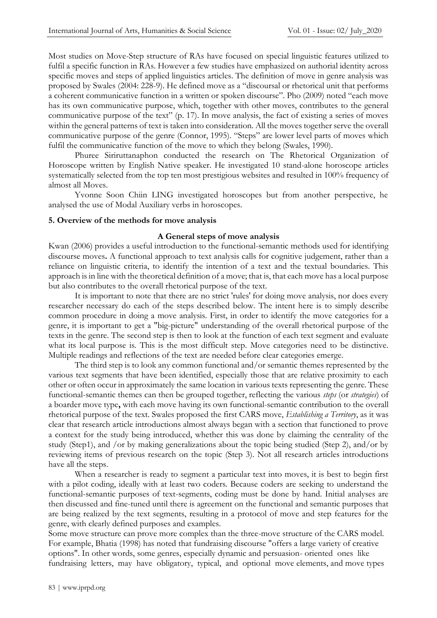Most studies on Move-Step structure of RAs have focused on special linguistic features utilized to fulfil a specific function in RAs. However a few studies have emphasized on authorial identity across specific moves and steps of applied linguistics articles. The definition of move in genre analysis was proposed by Swales (2004: 228-9). He defined move as a "discoursal or rhetorical unit that performs a coherent communicative function in a written or spoken discourse". Pho (2009) noted "each move has its own communicative purpose, which, together with other moves, contributes to the general communicative purpose of the text" (p. 17). In move analysis, the fact of existing a series of moves within the general patterns of text is taken into consideration. All the moves together serve the overall communicative purpose of the genre (Connor, 1995). "Steps" are lower level parts of moves which fulfil the communicative function of the move to which they belong (Swales, 1990).

Phuree Siriruttanaphon conducted the research on The Rhetorical Organization of Horoscope written by English Native speaker. He investigated 10 stand-alone horoscope articles systematically selected from the top ten most prestigious websites and resulted in 100% frequency of almost all Moves.

Yvonne Soon Chiin LING investigated horoscopes but from another perspective, he analysed the use of Modal Auxiliary verbs in horoscopes.

## **5. Overview of the methods for move analysis**

#### **A General steps of move analysis**

Kwan (2006) provides a useful introduction to the functional-semantic methods used for identifying discourse moves**.** A functional approach to text analysis calls for cognitive judgement, rather than a reliance on linguistic criteria, to identify the intention of a text and the textual boundaries. This approach is in line with the theoretical definition of a move; that is, that each move has a local purpose but also contributes to the overall rhetorical purpose of the text.

It is important to note that there are no strict 'rules' for doing move analysis, nor does every researcher necessary do each of the steps described below. The intent here is to simply describe common procedure in doing a move analysis. First, in order to identify the move categories for a genre, it is important to get a "big-picture" understanding of the overall rhetorical purpose of the texts in the genre. The second step is then to look at the function of each text segment and evaluate what its local purpose is. This is the most difficult step. Move categories need to be distinctive. Multiple readings and reflections of the text are needed before clear categories emerge.

The third step is to look any common functional and/or semantic themes represented by the various text segments that have been identified, especially those that are relative proximity to each other or often occur in approximately the same location in various texts representing the genre. These functional-semantic themes can then be grouped together, reflecting the various *steps* (or *strategies*) of a boarder move type**,** with each move having its own functional-semantic contribution to the overall rhetorical purpose of the text. Swales proposed the first CARS move, *Establishing a Territory*, as it was clear that research article introductions almost always began with a section that functioned to prove a context for the study being introduced, whether this was done by claiming the centrality of the study (Step1), and /or by making generalizations about the topic being studied (Step 2), and/or by reviewing items of previous research on the topic (Step 3). Not all research articles introductions have all the steps.

When a researcher is ready to segment a particular text into moves, it is best to begin first with a pilot coding, ideally with at least two coders. Because coders are seeking to understand the functional-semantic purposes of text-segments, coding must be done by hand. Initial analyses are then discussed and fine-tuned until there is agreement on the functional and semantic purposes that are being realized by the text segments, resulting in a protocol of move and step features for the genre, with clearly defined purposes and examples.

Some move structure can prove more complex than the three-move structure of the CARS model. For example, Bhatia (1998) has noted that fundraising discourse "offers a large variety of creative options". In other words, some genres, especially dynamic and persuasion- oriented ones like fundraising letters, may have obligatory, typical, and optional move elements, and move types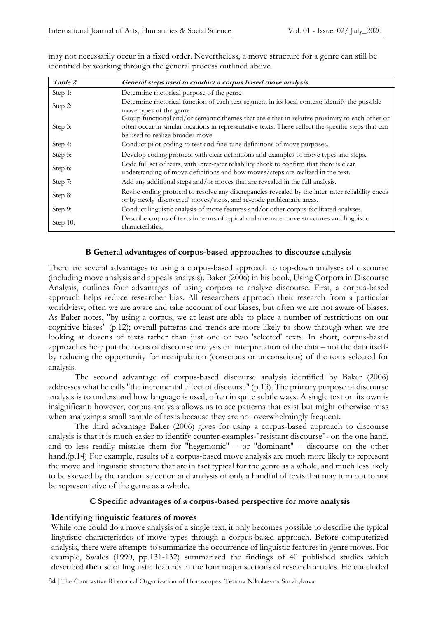| Table 2  | General steps used to conduct a corpus based move analysis                                                                                                                                                                                |
|----------|-------------------------------------------------------------------------------------------------------------------------------------------------------------------------------------------------------------------------------------------|
| Step 1:  | Determine rhetorical purpose of the genre                                                                                                                                                                                                 |
| Step 2:  | Determine rhetorical function of each text segment in its local context; identify the possible<br>move types of the genre                                                                                                                 |
| Step 3:  | Group functional and/or semantic themes that are either in relative proximity to each other or<br>often occur in similar locations in representative texts. These reflect the specific steps that can<br>be used to realize broader move. |
| Step 4:  | Conduct pilot-coding to test and fine-tune definitions of move purposes.                                                                                                                                                                  |
| Step 5:  | Develop coding protocol with clear definitions and examples of move types and steps.                                                                                                                                                      |
| Step 6:  | Code full set of texts, with inter-rater reliability check to confirm that there is clear<br>understanding of move definitions and how moves/steps are realized in the text.                                                              |
| Step 7:  | Add any additional steps and/or moves that are revealed in the full analysis.                                                                                                                                                             |
| Step 8:  | Revise coding protocol to resolve any discrepancies revealed by the inter-rater reliability check<br>or by newly 'discovered' moves/steps, and re-code problematic areas.                                                                 |
| Step 9:  | Conduct linguistic analysis of move features and/or other corpus-facilitated analyses.                                                                                                                                                    |
| Step 10: | Describe corpus of texts in terms of typical and alternate move structures and linguistic<br>characteristics.                                                                                                                             |

may not necessarily occur in a fixed order. Nevertheless, a move structure for a genre can still be identified by working through the general process outlined above.

#### **B General advantages of corpus-based approaches to discourse analysis**

There are several advantages to using a corpus-based approach to top-down analyses of discourse (including move analysis and appeals analysis). Baker (2006) in his book, Using Corpora in Discourse Analysis, outlines four advantages of using corpora to analyze discourse. First, a corpus-based approach helps reduce researcher bias. All researchers approach their research from a particular worldview; often we are aware and take account of our biases, but often we are not aware of biases. As Baker notes, "by using a corpus, we at least are able to place a number of restrictions on our cognitive biases" (p.12); overall patterns and trends are more likely to show through when we are looking at dozens of texts rather than just one or two 'selected' texts. In short, corpus-based approaches help put the focus of discourse analysis on interpretation of the data – not the data itselfby reducing the opportunity for manipulation (conscious or unconscious) of the texts selected for analysis.

The second advantage of corpus-based discourse analysis identified by Baker (2006) addresses what he calls "the incremental effect of discourse" (p.13). The primary purpose of discourse analysis is to understand how language is used, often in quite subtle ways. A single text on its own is insignificant; however, corpus analysis allows us to see patterns that exist but might otherwise miss when analyzing a small sample of texts because they are not overwhelmingly frequent.

The third advantage Baker (2006) gives for using a corpus-based approach to discourse analysis is that it is much easier to identify counter-examples-"resistant discourse"- on the one hand, and to less readily mistake them for "hegemonic" – or "dominant" – discourse on the other hand.(p.14) For example, results of a corpus-based move analysis are much more likely to represent the move and linguistic structure that are in fact typical for the genre as a whole, and much less likely to be skewed by the random selection and analysis of only a handful of texts that may turn out to not be representative of the genre as a whole.

#### **C Specific advantages of a corpus-based perspective for move analysis**

#### **Identifying linguistic features of moves**

While one could do a move analysis of a single text, it only becomes possible to describe the typical linguistic characteristics of move types through a corpus-based approach. Before computerized analysis, there were attempts to summarize the occurrence of linguistic features in genre moves. For example, Swales (1990, pp.131-132) summarized the findings of 40 published studies which described **the** use of linguistic features in the four major sections of research articles. He concluded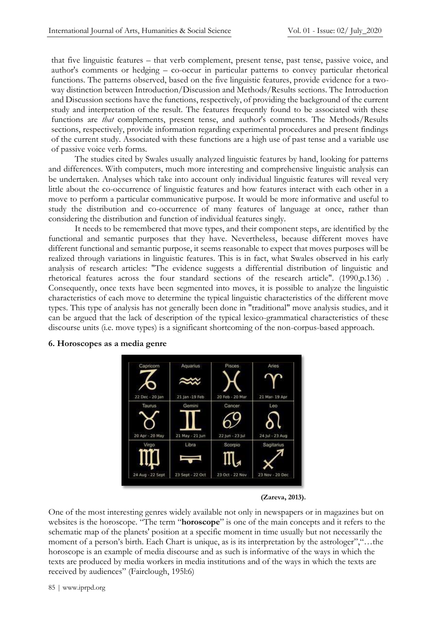that five linguistic features – that verb complement, present tense, past tense, passive voice, and author's comments or hedging – co-occur in particular patterns to convey particular rhetorical functions. The patterns observed, based on the five linguistic features, provide evidence for a twoway distinction between Introduction/Discussion and Methods/Results sections. The Introduction and Discussion sections have the functions, respectively, of providing the background of the current study and interpretation of the result. The features frequently found to be associated with these functions are *that* complements, present tense, and author's comments. The Methods/Results sections, respectively, provide information regarding experimental procedures and present findings of the current study. Associated with these functions are a high use of past tense and a variable use of passive voice verb forms.

The studies cited by Swales usually analyzed linguistic features by hand, looking for patterns and differences. With computers, much more interesting and comprehensive linguistic analysis can be undertaken. Analyses which take into account only individual linguistic features will reveal very little about the co-occurrence of linguistic features and how features interact with each other in a move to perform a particular communicative purpose. It would be more informative and useful to study the distribution and co-occurrence of many features of language at once, rather than considering the distribution and function of individual features singly.

It needs to be remembered that move types, and their component steps, are identified by the functional and semantic purposes that they have. Nevertheless, because different moves have different functional and semantic purpose, it seems reasonable to expect that moves purposes will be realized through variations in linguistic features. This is in fact, what Swales observed in his early analysis of research articles: "The evidence suggests a differential distribution of linguistic and rhetorical features across the four standard sections of the research article". (1990,p.136) . Consequently, once texts have been segmented into moves, it is possible to analyze the linguistic characteristics of each move to determine the typical linguistic characteristics of the different move types. This type of analysis has not generally been done in "traditional" move analysis studies, and it can be argued that the lack of description of the typical lexico-grammatical characteristics of these discourse units (i.e. move types) is a significant shortcoming of the non-corpus-based approach.



#### **6. Horoscopes as a media genre**

**(Zareva, 2013).**

One of the most interesting genres widely available not only in newspapers or in magazines but on websites is the horoscope. "The term "**horoscope**" is one of the main concepts and it refers to the schematic map of the planets' position at a specific moment in time usually but not necessarily the moment of a person's birth. Each Chart is unique, as is its interpretation by the astrologer","...the horoscope is an example of media discourse and as such is informative of the ways in which the texts are produced by media workers in media institutions and of the ways in which the texts are received by audiences" (Fairclough, 195l:6)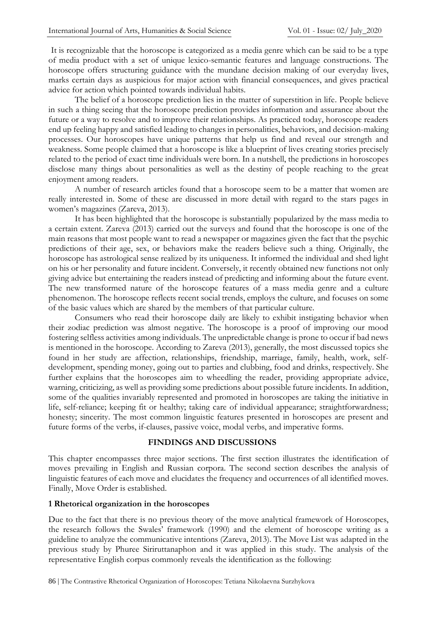It is recognizable that the horoscope is categorized as a media genre which can be said to be a type of media product with a set of unique lexico-semantic features and language constructions. The horoscope offers structuring guidance with the mundane decision making of our everyday lives, marks certain days as auspicious for major action with financial consequences, and gives practical advice for action which pointed towards individual habits.

The belief of a horoscope prediction lies in the matter of superstition in life. People believe in such a thing seeing that the horoscope prediction provides information and assurance about the future or a way to resolve and to improve their relationships. As practiced today, horoscope readers end up feeling happy and satisfied leading to changes in personalities, behaviors, and decision-making processes. Our horoscopes have unique patterns that help us find and reveal our strength and weakness. Some people claimed that a horoscope is like a blueprint of lives creating stories precisely related to the period of exact time individuals were born. In a nutshell, the predictions in horoscopes disclose many things about personalities as well as the destiny of people reaching to the great enjoyment among readers.

A number of research articles found that a horoscope seem to be a matter that women are really interested in. Some of these are discussed in more detail with regard to the stars pages in women's magazines (Zareva, 2013).

It has been highlighted that the horoscope is substantially popularized by the mass media to a certain extent. Zareva (2013) carried out the surveys and found that the horoscope is one of the main reasons that most people want to read a newspaper or magazines given the fact that the psychic predictions of their age, sex, or behaviors make the readers believe such a thing. Originally, the horoscope has astrological sense realized by its uniqueness. It informed the individual and shed light on his or her personality and future incident. Conversely, it recently obtained new functions not only giving advice but entertaining the readers instead of predicting and informing about the future event. The new transformed nature of the horoscope features of a mass media genre and a culture phenomenon. The horoscope reflects recent social trends, employs the culture, and focuses on some of the basic values which are shared by the members of that particular culture.

Consumers who read their horoscope daily are likely to exhibit instigating behavior when their zodiac prediction was almost negative. The horoscope is a proof of improving our mood fostering selfless activities among individuals. The unpredictable change is prone to occur if bad news is mentioned in the horoscope. According to Zareva (2013), generally, the most discussed topics she found in her study are affection, relationships, friendship, marriage, family, health, work, selfdevelopment, spending money, going out to parties and clubbing, food and drinks, respectively. She further explains that the horoscopes aim to wheedling the reader, providing appropriate advice, warning, criticizing, as well as providing some predictions about possible future incidents. In addition, some of the qualities invariably represented and promoted in horoscopes are taking the initiative in life, self-reliance; keeping fit or healthy; taking care of individual appearance; straightforwardness; honesty; sincerity. The most common linguistic features presented in horoscopes are present and future forms of the verbs, if-clauses, passive voice, modal verbs, and imperative forms.

#### **FINDINGS AND DISCUSSIONS**

This chapter encompasses three major sections. The first section illustrates the identification of moves prevailing in English and Russian corpora. The second section describes the analysis of linguistic features of each move and elucidates the frequency and occurrences of all identified moves. Finally, Move Order is established.

#### **1 Rhetorical organization in the horoscopes**

Due to the fact that there is no previous theory of the move analytical framework of Horoscopes, the research follows the Swales' framework (1990) and the element of horoscope writing as a guideline to analyze the communicative intentions (Zareva, 2013). The Move List was adapted in the previous study by Phuree Siriruttanaphon and it was applied in this study. The analysis of the representative English corpus commonly reveals the identification as the following: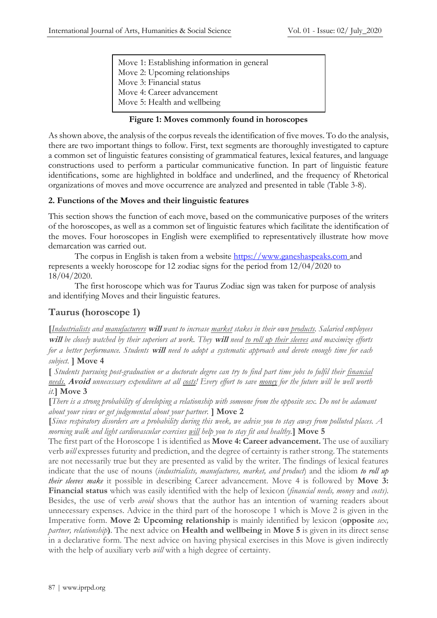Move 1: Establishing information in general Move 2: Upcoming relationships Move 3: Financial status Move 4: Career advancement Move 5: Health and wellbeing

### **Figure 1: Moves commonly found in horoscopes**

As shown above, the analysis of the corpus reveals the identification of five moves. To do the analysis, there are two important things to follow. First, text segments are thoroughly investigated to capture a common set of linguistic features consisting of grammatical features, lexical features, and language constructions used to perform a particular communicative function. In part of linguistic feature identifications, some are highlighted in boldface and underlined, and the frequency of Rhetorical organizations of moves and move occurrence are analyzed and presented in table (Table 3-8).

#### **2. Functions of the Moves and their linguistic features**

This section shows the function of each move, based on the communicative purposes of the writers of the horoscopes, as well as a common set of linguistic features which facilitate the identification of the moves. Four horoscopes in English were exemplified to representatively illustrate how move demarcation was carried out.

The corpus in English is taken from a website [https://www.ganeshaspeaks.com](https://www.ganeshaspeaks.com/) and represents a weekly horoscope for 12 zodiac signs for the period from 12/04/2020 to 18/04/2020.

The first horoscope which was for Taurus Zodiac sign was taken for purpose of analysis and identifying Moves and their linguistic features.

## **Taurus (horoscope 1)**

**[***Industrialists and manufacturers* **will** *want to increase market stakes in their own products. Salaried employees*  **will** *be closely watched by their superiors at work. They* **will** *need to roll up their sleeves and maximize efforts for a better performance. Students* **will** *need to adopt a systematic approach and devote enough time for each subject.* **] Move 4** 

**[** *Students pursuing post-graduation or a doctorate degree can try to find part time jobs to fulfil their financial needs.* **Avoid** *unnecessary expenditure at all costs! Every effort to save money for the future will be well worth it.***] Move 3**

**[***There is a strong probability of developing a relationship with someone from the opposite sex. Do not be adamant about your views or get judgemental about your partner.* **] Move 2**

**[***Since respiratory disorders are a probability during this week, we advise you to stay away from polluted places. A morning walk and light cardiovascular exercises will help you to stay fit and healthy.***] Move 5**

The first part of the Horoscope 1 is identified as **Move 4: Career advancement.** The use of auxiliary verb *will* expresses futurity and prediction, and the degree of certainty is rather strong. The statements are not necessarily true but they are presented as valid by the writer. The findings of lexical features indicate that the use of nouns (*industrialists, manufactures, market, and product*) and the idiom *to roll up their sleeves make* it possible in describing Career advancement. Move 4 is followed by **Move 3: Financial status** which was easily identified with the help of lexicon (*financial needs, money* and *costs)*. Besides, the use of verb *avoid* shows that the author has an intention of warning readers about unnecessary expenses. Advice in the third part of the horoscope 1 which is Move 2 is given in the Imperative form. **Move 2: Upcoming relationship** is mainly identified by lexicon (**opposite** *sex, partner, relationship***)**. The next advice on **Health and wellbeing** in **Move 5** is given in its direct sense in a declarative form. The next advice on having physical exercises in this Move is given indirectly with the help of auxiliary verb *will* with a high degree of certainty.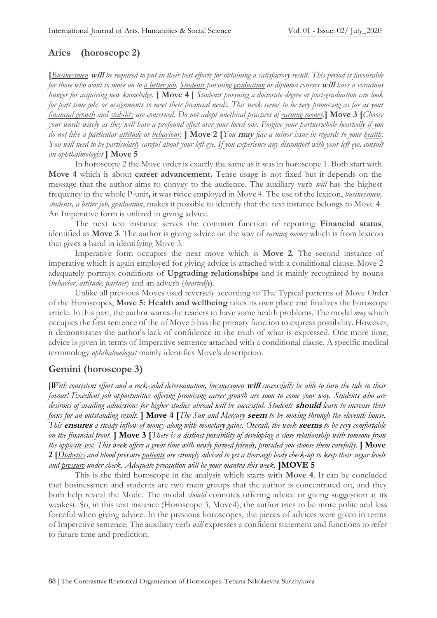## **Aries (horoscope 2)**

**[***Businessmen* **will** *be required to put in their best efforts for obtaining a satisfactory result. This period is favourable for those who want to move on to a better job. Students pursuing graduation or diploma courses* **will** *have a voracious hunger for acquiring new knowledge.* **] Move 4 [** *Students pursuing a doctorate degree or post-graduation can look for part time jobs or assignments to meet their financial needs. This week seems to be very promising as far as your financial growth and stability are concerned. Do not adopt unethical practices of earning money.***] Move 3 [***Choose your words wisely as they will have a profound effect over your loved one. Forgive your partnerwhole heartedly if you do not like a particular attitude or behaviour.* **] Move 2 [***You* **may** *face a minor issue in regards to your health. You will need to be particularly careful about your left eye. If you experience any discomfort with your left eye, consult an ophthalmologist* **] Move 5**

In horoscope 2 the Move order is exactly the same as it was in horoscope 1. Both start with **Move 4** which is about **career advancement.** Tense usage is not fixed but it depends on the message that the author aims to convey to the audience. The auxiliary verb *will* has the highest frequency in the whole P-unit**,** it was twice employed in Move 4. The use of the lexicon, *businessmen, students, a better job, graduation*, makes it possible to identify that the text instance belongs to Move 4. An Imperative form is utilized in giving advice.

The next text instance serves the common function of reporting **Financial status**, identified as **Move 3**. The author is giving advice on the way of *earning money* which is from lexicon that gives a hand in identifying Move 3.

Imperative form occupies the next move which is **Move 2**. The second instance of imperative which is again employed for giving advice is attached with a conditional clause. Move 2 adequately portrays conditions of **Upgrading relationships** and is mainly recognized by nouns (*behavior, attitude, partner*) and an adverb (*heartedly*).

Unlike all previous Moves used reversely according to The Typical patterns of Move Order of the Horoscopes, **Move 5: Health and wellbeing** takes its own place and finalizes the horoscope article. In this part, the author warns the readers to have some health problems. The modal *may* which occupies the first sentence of the of Move 5 has the primary function to express possibility. However, it demonstrates the author's lack of confidence in the truth of what is expressed. One more time, advice is given in terms of Imperative sentence attached with a conditional clause. A specific medical terminology *ophthalmologist* mainly identifies Move's description.

## **Gemini (horoscope 3)**

[*With consistent effort and a rock-solid determination, businessmen* **will** *successfully be able to turn the tide in their favour! Excellent job opportunities offering promising career growth are soon to come your way. Students who are desirous of availing admissions for higher studies abroad will be successful. Students* **should** *learn to increase their focus for an outstanding result.* **] Move 4 [***The Sun and Mercury* **seem** *to be moving through the eleventh house. This* **ensures** *a steady inflow of money along with monetary gains. Overall, the week* **seems** *to be very comfortable on the financial front.* **] Move 3 [***There is a distinct possibility of developing a close relationship with someone from the opposite sex. This week offers a great time with newly formed friends, provided you choose them carefully.* **] Move 2 [***Diabetics and blood pressure patients are strongly advised to get a thorough body check-up to keep their sugar levels and pressure under check. Adequate precaution will be your mantra this week.* **]MOVE 5**

This is the third horoscope in the analysis which starts with **Move 4**. It can be concluded that businessmen and students are two main groups that the author is concentrated on, and they both help reveal the Mode. The modal *should* connotes offering advice or giving suggestion at its weakest. So, in this text instance (Horoscope 3, Move4), the author tries to be more polite and less forceful when giving advice. In the previous horoscopes, the pieces of advices were given in terms of Imperative sentence. The auxiliary verb *will* expresses a confident statement and functions to refer to future time and prediction.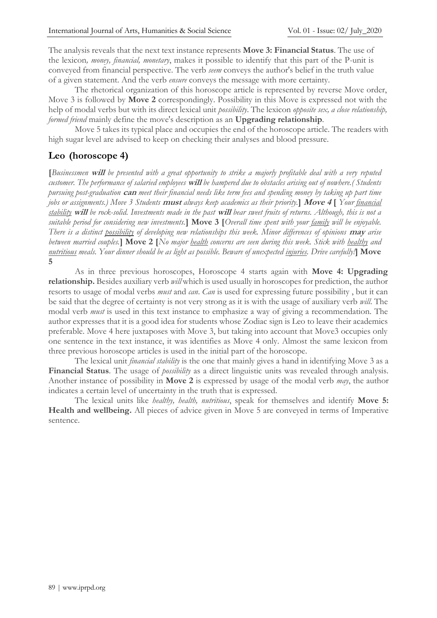The analysis reveals that the next text instance represents **Move 3: Financial Status**. The use of the lexicon*, money, financial, monetary*, makes it possible to identify that this part of the P-unit is conveyed from financial perspective. The verb *seem* conveys the author's belief in the truth value of a given statement. And the verb *ensure* conveys the message with more certainty.

The rhetorical organization of this horoscope article is represented by reverse Move order, Move 3 is followed by **Move 2** correspondingly. Possibility in this Move is expressed not with the help of modal verbs but with its direct lexical unit *possibility*. The lexicon *opposite sex, a close relationship, formed friend* mainly define the move's description as an **Upgrading relationship**.

Move 5 takes its typical place and occupies the end of the horoscope article. The readers with high sugar level are advised to keep on checking their analyses and blood pressure.

## **Leo (horoscope 4)**

**[***Businessmen* **will** *be presented with a great opportunity to strike a majorly profitable deal with a very reputed customer. The performance of salaried employees* **will** *be hampered due to obstacles arising out of nowhere.( Students pursuing post-graduation* **can** *meet their financial needs like term fees and spending money by taking up part time jobs or assignments.) Move 3 Students* **must** *always keep academics as their priority.***] Move 4 [** *Your financial stability* **will** *be rock-solid. Investments made in the past* **will** *bear sweet fruits of returns. Although, this is not a suitable period for considering new investments.***] Move 3 [***Overall time spent with your family will be enjoyable. There is a distinct possibility of developing new relationships this week. Minor differences of opinions* **may** *arise between married couples.***] Move 2 [***No major health concerns are seen during this week. Stick with healthy and nutritious meals. Your dinner should be as light as possible. Beware of unexpected injuries. Drive carefully!***] Move 5**

As in three previous horoscopes, Horoscope 4 starts again with **Move 4: Upgrading relationship.** Besides auxiliary verb *will* which is used usually in horoscopes for prediction, the author resorts to usage of modal verbs *must* and *can*. *Can* is used for expressing future possibility , but it can be said that the degree of certainty is not very strong as it is with the usage of auxiliary verb *will*. The modal verb *must* is used in this text instance to emphasize a way of giving a recommendation. The author expresses that it is a good idea for students whose Zodiac sign is Leo to leave their academics preferable. Move 4 here juxtaposes with Move 3, but taking into account that Move3 occupies only one sentence in the text instance, it was identifies as Move 4 only. Almost the same lexicon from three previous horoscope articles is used in the initial part of the horoscope.

The lexical unit *financial stability* is the one that mainly gives a hand in identifying Move 3 as a **Financial Status**. The usage of *possibility* as a direct linguistic units was revealed through analysis. Another instance of possibility in **Move 2** is expressed by usage of the modal verb *may*, the author indicates a certain level of uncertainty in the truth that is expressed.

The lexical units like *healthy, health, nutritious*, speak for themselves and identify **Move 5: Health and wellbeing.** All pieces of advice given in Move 5 are conveyed in terms of Imperative sentence.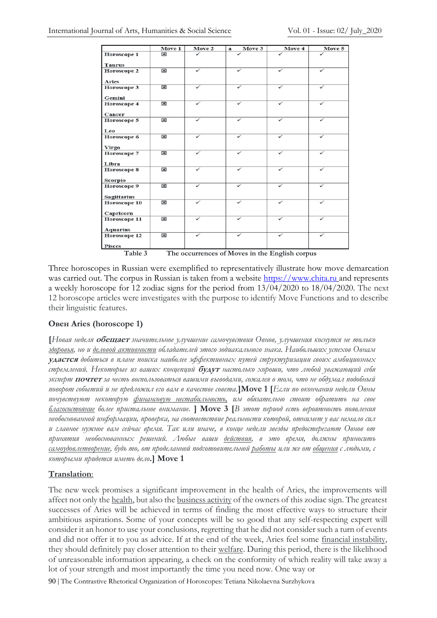|                                                           | Move 1                  | Move 2       | Move 3<br>a  | Move 4       | Move 5       |
|-----------------------------------------------------------|-------------------------|--------------|--------------|--------------|--------------|
| Horoscope 1                                               | $\overline{\mathbf{x}}$ |              |              |              |              |
| <b>Taurus</b>                                             |                         |              |              |              |              |
| Horoscope 2                                               | $\overline{\mathbf{x}}$ | ✓            | ✓            | ✓            | ✓            |
|                                                           |                         |              |              |              |              |
| <b>Aries</b>                                              |                         |              |              |              |              |
| Horoscope 3                                               | $\overline{\mathbf{x}}$ | ✓            | $\checkmark$ | $\checkmark$ | $\checkmark$ |
| Gemini                                                    |                         |              |              |              |              |
| Horoscope 4                                               | $\overline{\mathbf{x}}$ | $\checkmark$ | $\checkmark$ | ✓            | ✓            |
|                                                           |                         |              |              |              |              |
| Cancer                                                    |                         |              |              |              |              |
| Horoscope 5                                               | $\overline{\mathbf{x}}$ | $\checkmark$ | ✓            | $\checkmark$ | ✓            |
|                                                           |                         |              |              |              |              |
| Leo                                                       | $\overline{\mathbf{x}}$ | ✓            | ✓            | ✓            | ✓            |
| Horoscope 6                                               |                         |              |              |              |              |
| <b>Virgo</b>                                              |                         |              |              |              |              |
| Horoscope 7                                               | $\overline{\mathbf{x}}$ | ✓            | ✓            | ✓            |              |
|                                                           |                         |              |              |              |              |
| Libra                                                     |                         |              |              |              |              |
| Horoscope 8                                               | $\overline{\mathbf{x}}$ | ✓            |              | ✓            | ✓            |
| Scorpio                                                   |                         |              |              |              |              |
| Horoscope 9                                               | $\overline{\mathbf{x}}$ | ✓            |              |              | ✓            |
|                                                           |                         |              |              |              |              |
| <b>Sagittarius</b>                                        |                         |              |              |              |              |
| Horoscope 10                                              | $\overline{\mathbf{x}}$ | ✓            |              | ✓            | ✓            |
|                                                           |                         |              |              |              |              |
| Capricorn                                                 | $\overline{\mathbf{x}}$ | ✓            | ✓            | ✓            | $\checkmark$ |
| Horoscope 11                                              |                         |              |              |              |              |
| <b>Aquarius</b>                                           |                         |              |              |              |              |
| Horoscope 12                                              | $\overline{\mathbf{x}}$ | ✓            |              |              |              |
|                                                           |                         |              |              |              |              |
| Pisces                                                    |                         |              |              |              |              |
| Table 3<br>The occurrences of Moves in the English corpus |                         |              |              |              |              |

Three horoscopes in Russian were exemplified to representatively illustrate how move demarcation was carried out. The corpus in Russian is taken from a website [https://www.chita.ru](https://www.chita.ru/) and represents a weekly horoscope for 12 zodiac signs for the period from 13/04/2020 to 18/04/2020. The next 12 horoscope articles were investigates with the purpose to identify Move Functions and to describe their linguistic features.

## **Овен Aries (horoscope 1)**

**[***Новая неделя* **обещает** *значительное улучшение самочувствия Овнов, улучшения коснутся не только здоровья, но и деловой активности обладателей этого зодиакального знака. Наибольших успехов Овнам*  **удастся** *добиться в плане поиска наиболее эффективных путей структуризации своих амбициозных стремлений. Некоторые из ваших концепций* **будут** *настолько хороши, что любой уважающий себя эксперт* **почтет** *за честь воспользоваться вашими выводами, сожалея о том, что не обдумал подобный поворот событий и не предложил его вам в качестве совета.***]Move 1 [***Если по окончании недели Овны почувствуют некоторую финансовую нестабильность, им обязательно стоит обратить на свое благосостояние более пристальное внимание.* **] Move 3 [***В этот период есть вероятность появления необоснованной информации, проверка, на соответствие реальности которой, отнимет у вас немало сил и главное нужное вам сейчас время. Так или иначе, в конце недели звезды предостерегают Овнов от принятия необоснованных решений. Любые ваши действия, в это время, должны приносить самоудовлетворение, будь то, от проделанной подготовительной работы или же от общения с людьми, с которыми придется иметь дело***.] Move 1**

## **Translation**:

The new week promises a significant improvement in the health of Aries, the improvements will affect not only the health, but also the business activity of the owners of this zodiac sign. The greatest successes of Aries will be achieved in terms of finding the most effective ways to structure their ambitious aspirations. Some of your concepts will be so good that any self-respecting expert will consider it an honor to use your conclusions, regretting that he did not consider such a turn of events and did not offer it to you as advice. If at the end of the week, Aries feel some financial instability, they should definitely pay closer attention to their welfare. During this period, there is the likelihood of unreasonable information appearing, a check on the conformity of which reality will take away a lot of your strength and most importantly the time you need now. One way or

90 | The Contrastive Rhetorical Organization of Horoscopes: Tetiana Nikolaevna Surzhykova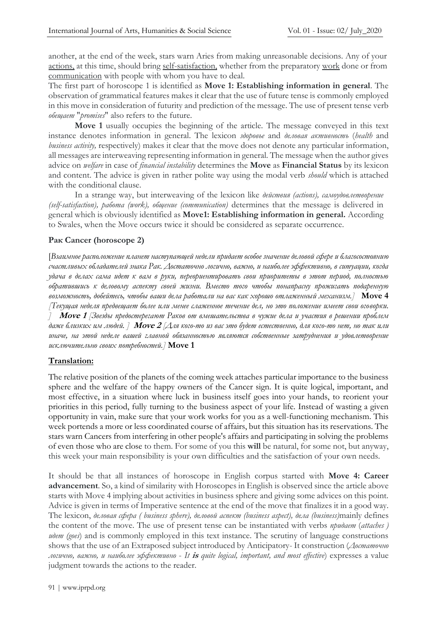another, at the end of the week, stars warn Aries from making unreasonable decisions. Any of your actions, at this time, should bring self-satisfaction, whether from the preparatory work done or from communication with people with whom you have to deal.

The first part of horoscope 1 is identified as **Move 1: Establishing information in general**. The observation of grammatical features makes it clear that the use of future tense is commonly employed in this move in consideration of futurity and prediction of the message. The use of present tense verb *обещает* "*promises*" also refers to the future.

**Move 1** usually occupies the beginning of the article. The message conveyed in this text instance denotes information in general. The lexicon *здоровье* and *деловая активность* (*health* and *business activity,* respectively) makes it clear that the move does not denote any particular information, all messages are interweaving representing information in general. The message when the author gives advice on *welfare* in case of *financial instability* determines the **Move** as **Financial Status** by its lexicon and content. The advice is given in rather polite way using the modal verb *should* which is attached with the conditional clause.

In a strange way, but interweaving of the lexicon like *действия (actions), самоудовлетворение (self-satisfaction), работа (work), общение (communication)* determines that the message is delivered in general which is obviously identified as **Move1: Establishing information in general.** According to Swales, when the Move occurs twice it should be considered as separate occurrence.

## **Рак Cancer (horoscope 2)**

[*Взаимное расположение планет наступающей недели придает особое значение деловой сфере и благосостоянию счастливых обладателей знака Рак. Достаточно логично, важно, и наиболее эффективно, в ситуации, когда удача в делах сама идет к вам в руки, переориентировать свои приоритеты в этот период, полностью обратившись к деловому аспекту своей жизни. Вместо того чтобы понапрасну прожигать подаренную возможность, добейтесь, чтобы ваши дела работали на вас как хорошо отлаженный механизм.]* **Move 4** *[Текущая неделя предвещает более или менее слаженное течение дел, но это положение имеет свои оговорки. ]* **Move 1** *[Звезды предостерегают Раков от вмешательства в чужие дела и участия в решении проблем даже близких им людей. ]* **Move 2** *[Для кого-то из вас это будет естественно, для кого-то нет, но так или иначе, на этой неделе вашей главной обязанностью являются собственные затруднения и удовлетворение исключительно своих потребностей.]* **Move 1**

## **Translation:**

The relative position of the planets of the coming week attaches particular importance to the business sphere and the welfare of the happy owners of the Cancer sign. It is quite logical, important, and most effective, in a situation where luck in business itself goes into your hands, to reorient your priorities in this period, fully turning to the business aspect of your life. Instead of wasting a given opportunity in vain, make sure that your work works for you as a well-functioning mechanism. This week portends a more or less coordinated course of affairs, but this situation has its reservations. The stars warn Cancers from interfering in other people's affairs and participating in solving the problems of even those who are close to them. For some of you this **will** be natural, for some not, but anyway, this week your main responsibility is your own difficulties and the satisfaction of your own needs.

It should be that all instances of horoscope in English corpus started with **Move 4: Career advancement**. So, a kind of similarity with Horoscopes in English is observed since the article above starts with Move 4 implying about activities in business sphere and giving some advices on this point. Advice is given in terms of Imperative sentence at the end of the move that finalizes it in a good way. The lexicon, *деловая сфера ( business sphere), деловой аспект (business aspect), дела (business)*mainly defines the content of the move. The use of present tense can be instantiated with verbs *придает* (*attaches ) идет (goes*) and is commonly employed in this text instance. The scrutiny of language constructions shows that the use of an Extraposed subject introduced by Anticipatory- It construction (*Достаточно логично, важно, и наиболее эффективно* - *It* **is** *quite logical, important, and most effective*) expresses a value judgment towards the actions to the reader.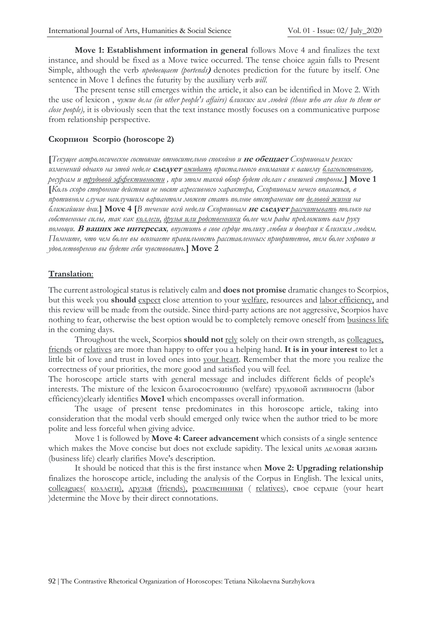**Move 1: Establishment information in general** follows Move 4 and finalizes the text instance, and should be fixed as a Move twice occurred. The tense choice again falls to Present Simple, although the verb *предвещает (portends***)** denotes prediction for the future by itself. One sentence in Move 1 defines the futurity by the auxiliary verb *will*.

The present tense still emerges within the article, it also can be identified in Move 2. With the use of lexicon , *чужие дела (in other people's affairs) близких им людей (those who are close to them or close people),* it is obviously seen that the text instance mostly focuses on a communicative purpose from relationship perspective.

## **Скорпион Scorpio (horoscope 2)**

**[***Текущее астрологическое состояние относительно спокойно и* **не обещает** *Скорпионам резких изменений однако на этой неделе* **следует** *ожидать пристального внимания к вашему благосостоянию, ресурсам и трудовой эффективности , при этом такой обзор будет сделан с внешней стороны.***] Move 1 [***Коль скоро сторонние действия не носят агрессивного характера, Скорпионам нечего опасаться, в противном случае наилучшим вариантом может стать полное отстранение от деловой жизни на ближайшие дни.***] Move 4 [***В течение всей недели Скорпионам* **не следует** *рассчитывать только на собственные силы, так как коллеги, друзья или родственники более чем рады предложить вам руку помощи.* **В ваших же интересах***, впустить в свое сердце толику любви и доверия к близким людям. Помните, что чем более вы осознаете правильность расставленных приоритетов, тем более хорошо и удовлетворенно вы будете себя чувствовать.***] Move 2**

## **Translation**:

The current astrological status is relatively calm and **does not promise** dramatic changes to Scorpios, but this week you **should** expect close attention to your welfare, resources and labor efficiency, and this review will be made from the outside. Since third-party actions are not aggressive, Scorpios have nothing to fear, otherwise the best option would be to completely remove oneself from business life in the coming days.

Throughout the week, Scorpios **should not** rely solely on their own strength, as colleagues, friends or relatives are more than happy to offer you a helping hand. **It is in your interest** to let a little bit of love and trust in loved ones into your heart. Remember that the more you realize the correctness of your priorities, the more good and satisfied you will feel.

The horoscope article starts with general message and includes different fields of people's interests. The mixture of the lexicon благосостоянию (welfare) трудовой активности (labor efficiency)clearly identifies **Move1** which encompasses overall information.

The usage of present tense predominates in this horoscope article, taking into consideration that the modal verb should emerged only twice when the author tried to be more polite and less forceful when giving advice.

Move 1 is followed by **Move 4: Career advancement** which consists of a single sentence which makes the Move concise but does not exclude sapidity. The lexical units деловая жизнь (business life) clearly clarifies Move's description.

It should be noticed that this is the first instance when **Move 2: Upgrading relationship** finalizes the horoscope article, including the analysis of the Corpus in English. The lexical units, colleagues( коллеги), друзья (friends), родственники ( relatives), свое сердце (your heart )determine the Move by their direct connotations.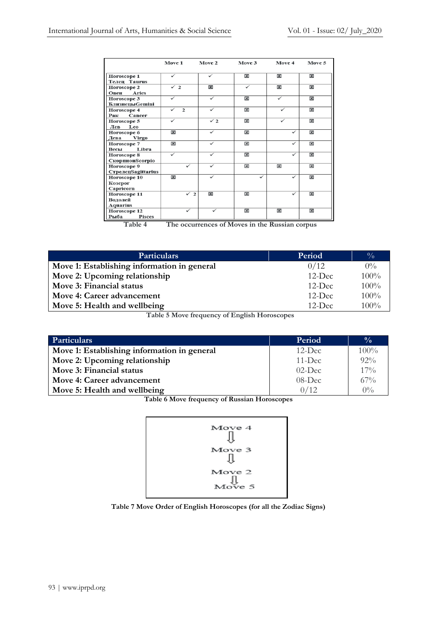|                                                          | Move 1                       | Move 2                  | Move 3                  | Move 4                  | Move 5                  |
|----------------------------------------------------------|------------------------------|-------------------------|-------------------------|-------------------------|-------------------------|
| Horoscope 1<br><b>Телен Taurus</b>                       | ✓                            | ✓                       | $\overline{\mathbf{x}}$ | 区                       | $\overline{\mathbf{x}}$ |
| Horoscope 2<br>Овен<br><b>Aries</b>                      | $\checkmark$ 2               | $\overline{\mathbf{x}}$ | ✓                       | 図                       | 図                       |
| Horoscope 3<br><b>БлизнецыGemini</b>                     |                              |                         | 図                       | ✓                       | $\overline{\mathbf{x}}$ |
| Horoscope 4<br>Cancer<br>Рак                             | $\checkmark$<br>$\mathbf{2}$ | $\checkmark$            | $\overline{\mathbf{x}}$ | ✓                       | $\mathbf{x}$            |
| Horoscope 5<br>Leo<br>Лев                                | ✓                            | $\sqrt{2}$              | 図                       | ✓                       | $\overline{\mathbf{x}}$ |
| Horoscope 6<br>Дева<br>Virgo                             | 図                            | ✓                       | 図                       | $\checkmark$            | $\overline{\mathbf{x}}$ |
| Horoscope 7<br>Libra<br>Весы                             | ×                            | $\checkmark$            | 区                       | $\checkmark$            | $\overline{\mathbf{x}}$ |
| Horoscope 8<br><b>СкорпионScorpio</b>                    | ✓                            | ✓                       | $\overline{\mathbf{x}}$ | $\checkmark$            | 図                       |
| Horoscope 9<br>СтрелецSagittarius                        |                              |                         | 図                       | 図                       | $\overline{\mathbf{x}}$ |
| Horoscope 10<br>Козерог<br>Capricorn                     | $\overline{\mathbf{x}}$      |                         | ✓                       | ✓                       | $\mathbf{x}$            |
| Horoscope 11<br>Водолей                                  | ✓<br>$\overline{2}$          | $\vert x \vert$         | $\overline{\mathbf{x}}$ | ✓                       | $\overline{\mathbf{x}}$ |
| <b>Aquarius</b><br>Horoscope 12<br>Рыба<br><b>Pisces</b> | ✓                            | $\checkmark$            | $\overline{\mathbf{x}}$ | $\overline{\mathbf{x}}$ | $\overline{\mathbf{x}}$ |

**Table 4 The occurrences of Moves in the Russian corpus**

| <b>Particulars</b>                                                                                                                                   | Period    | $\frac{0}{0}$ |
|------------------------------------------------------------------------------------------------------------------------------------------------------|-----------|---------------|
| Move 1: Establishing information in general                                                                                                          | 0/12      | $0\%$         |
| Move 2: Upcoming relationship                                                                                                                        | $12$ -Dec | 100%          |
| Move 3: Financial status                                                                                                                             | $12$ -Dec | 100%          |
| Move 4: Career advancement                                                                                                                           | $12$ -Dec | $100\%$       |
| Move 5: Health and wellbeing                                                                                                                         | $12$ -Dec | $100\%$       |
| $T_{\rm eff}$ $\sim$ $\epsilon$ $M_{\rm core}$ $f_{\rm acc}$ $f_{\rm core}$ $\sim$ $\epsilon$ $T_{\rm core}$ $\sim$ $T_{\rm core}$ $\sim$ $\epsilon$ |           |               |

**Table 5 Move frequency of English Horoscopes**

| <b>Particulars</b>                          | Period    | $\frac{0}{0}$ |
|---------------------------------------------|-----------|---------------|
| Move 1: Establishing information in general | $12$ -Dec | $100\%$       |
| Move 2: Upcoming relationship               | $11$ -Dec | $92\%$        |
| Move 3: Financial status                    | $02$ -Dec | $17\%$        |
| Move 4: Career advancement                  | $08$ -Dec | $67\%$        |
| Move 5: Health and wellbeing                | 0/12      | $0\%$         |

**Table 6 Move frequency of Russian Horoscopes**



**Table 7 Move Order of English Horoscopes (for all the Zodiac Signs)**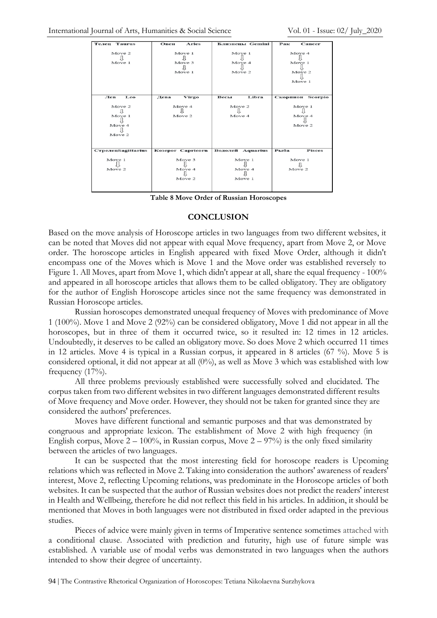| <b>Tenen Taurus</b>                       | <b>Aries</b><br>Овен       | Близнецы Gemini            | Рак<br>Cancer                        |  |
|-------------------------------------------|----------------------------|----------------------------|--------------------------------------|--|
| Move 2<br>Move 1                          | Move 1<br>Move 3<br>Move 1 | Move 1<br>Move 4<br>Move 2 | Move 4<br>Move 1<br>Move 2<br>Move 1 |  |
| Лев<br>Leo                                | Дева<br>Virgo              | Libra<br>Весы              | Скорпион Scorpio                     |  |
| Move 2<br>Л<br>Move 1<br>Move 4<br>Move 2 | Move 4<br>Move 2           | Move 2<br>Move 4           | Move 1<br>Jι<br>Move 4<br>Move 2     |  |
| СтрелецSagittarius                        | Kosepor Capricorn          | Водолей Aquarius           | Рыба<br><b>Pisces</b>                |  |
| Move 1<br>Move 2                          | Move 3<br>Move 4<br>Move 2 | Move 1<br>Move 4<br>Move 1 | Move 1<br>Move 2                     |  |

**Table 8 Move Order of Russian Horoscopes**

#### **CONCLUSION**

Based on the move analysis of Horoscope articles in two languages from two different websites, it can be noted that Moves did not appear with equal Move frequency, apart from Move 2, or Move order. The horoscope articles in English appeared with fixed Move Order, although it didn't encompass one of the Moves which is Move 1 and the Move order was established reversely to Figure 1. All Moves, apart from Move 1, which didn't appear at all, share the equal frequency - 100% and appeared in all horoscope articles that allows them to be called obligatory. They are obligatory for the author of English Horoscope articles since not the same frequency was demonstrated in Russian Horoscope articles.

Russian horoscopes demonstrated unequal frequency of Moves with predominance of Move 1 (100%). Move 1 and Move 2 (92%) can be considered obligatory, Move 1 did not appear in all the horoscopes, but in three of them it occurred twice, so it resulted in: 12 times in 12 articles. Undoubtedly, it deserves to be called an obligatory move. So does Move 2 which occurred 11 times in 12 articles. Move 4 is typical in a Russian corpus, it appeared in 8 articles (67 %). Move 5 is considered optional, it did not appear at all (0%), as well as Move 3 which was established with low frequency (17%).

All three problems previously established were successfully solved and elucidated. The corpus taken from two different websites in two different languages demonstrated different results of Move frequency and Move order. However, they should not be taken for granted since they are considered the authors' preferences.

Moves have different functional and semantic purposes and that was demonstrated by congruous and appropriate lexicon. The establishment of Move 2 with high frequency (in English corpus, Move  $2 - 100\%$ , in Russian corpus, Move  $2 - 97\%$  is the only fixed similarity between the articles of two languages.

It can be suspected that the most interesting field for horoscope readers is Upcoming relations which was reflected in Move 2. Taking into consideration the authors' awareness of readers' interest, Move 2, reflecting Upcoming relations, was predominate in the Horoscope articles of both websites. It can be suspected that the author of Russian websites does not predict the readers' interest in Health and Wellbeing, therefore he did not reflect this field in his articles. In addition, it should be mentioned that Moves in both languages were not distributed in fixed order adapted in the previous studies.

Pieces of advice were mainly given in terms of Imperative sentence sometimes attached with a conditional clause. Associated with prediction and futurity, high use of future simple was established. A variable use of modal verbs was demonstrated in two languages when the authors intended to show their degree of uncertainty.